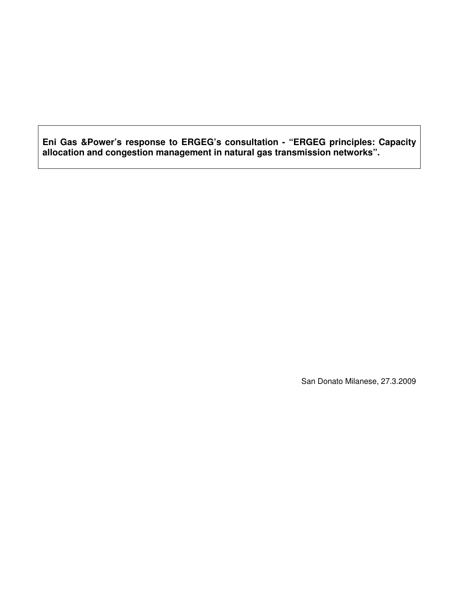**Eni Gas &Power's response to ERGEG's consultation - "ERGEG principles: Capacity allocation and congestion management in natural gas transmission networks".** 

San Donato Milanese, 27.3.2009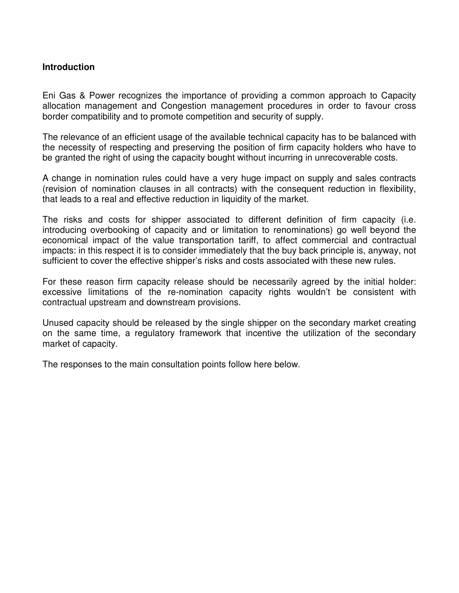### **Introduction**

Eni Gas & Power recognizes the importance of providing a common approach to Capacity allocation management and Congestion management procedures in order to favour cross border compatibility and to promote competition and security of supply.

The relevance of an efficient usage of the available technical capacity has to be balanced with the necessity of respecting and preserving the position of firm capacity holders who have to be granted the right of using the capacity bought without incurring in unrecoverable costs.

A change in nomination rules could have a very huge impact on supply and sales contracts (revision of nomination clauses in all contracts) with the consequent reduction in flexibility, that leads to a real and effective reduction in liquidity of the market.

The risks and costs for shipper associated to different definition of firm capacity (i.e. introducing overbooking of capacity and or limitation to renominations) go well beyond the economical impact of the value transportation tariff, to affect commercial and contractual impacts: in this respect it is to consider immediately that the buy back principle is, anyway, not sufficient to cover the effective shipper's risks and costs associated with these new rules.

For these reason firm capacity release should be necessarily agreed by the initial holder: excessive limitations of the re-nomination capacity rights wouldn't be consistent with contractual upstream and downstream provisions.

Unused capacity should be released by the single shipper on the secondary market creating on the same time, a regulatory framework that incentive the utilization of the secondary market of capacity.

The responses to the main consultation points follow here below.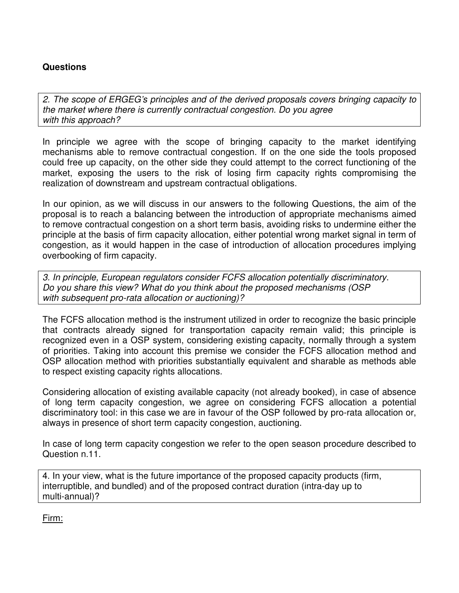# **Questions**

2. The scope of ERGEG's principles and of the derived proposals covers bringing capacity to the market where there is currently contractual congestion. Do you agree with this approach?

In principle we agree with the scope of bringing capacity to the market identifying mechanisms able to remove contractual congestion. If on the one side the tools proposed could free up capacity, on the other side they could attempt to the correct functioning of the market, exposing the users to the risk of losing firm capacity rights compromising the realization of downstream and upstream contractual obligations.

In our opinion, as we will discuss in our answers to the following Questions, the aim of the proposal is to reach a balancing between the introduction of appropriate mechanisms aimed to remove contractual congestion on a short term basis, avoiding risks to undermine either the principle at the basis of firm capacity allocation, either potential wrong market signal in term of congestion, as it would happen in the case of introduction of allocation procedures implying overbooking of firm capacity.

3. In principle, European regulators consider FCFS allocation potentially discriminatory. Do you share this view? What do you think about the proposed mechanisms (OSP with subsequent pro-rata allocation or auctioning)?

The FCFS allocation method is the instrument utilized in order to recognize the basic principle that contracts already signed for transportation capacity remain valid; this principle is recognized even in a OSP system, considering existing capacity, normally through a system of priorities. Taking into account this premise we consider the FCFS allocation method and OSP allocation method with priorities substantially equivalent and sharable as methods able to respect existing capacity rights allocations.

Considering allocation of existing available capacity (not already booked), in case of absence of long term capacity congestion, we agree on considering FCFS allocation a potential discriminatory tool: in this case we are in favour of the OSP followed by pro-rata allocation or, always in presence of short term capacity congestion, auctioning.

In case of long term capacity congestion we refer to the open season procedure described to Question n.11.

4. In your view, what is the future importance of the proposed capacity products (firm, interruptible, and bundled) and of the proposed contract duration (intra-day up to multi-annual)?

Firm: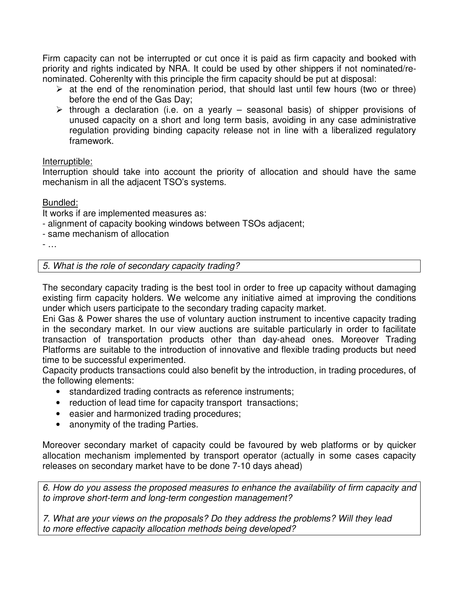Firm capacity can not be interrupted or cut once it is paid as firm capacity and booked with priority and rights indicated by NRA. It could be used by other shippers if not nominated/renominated. Coherenlty with this principle the firm capacity should be put at disposal:

- $\triangleright$  at the end of the renomination period, that should last until few hours (two or three) before the end of the Gas Day;
- $\triangleright$  through a declaration (i.e. on a yearly seasonal basis) of shipper provisions of unused capacity on a short and long term basis, avoiding in any case administrative regulation providing binding capacity release not in line with a liberalized regulatory framework.

## Interruptible:

Interruption should take into account the priority of allocation and should have the same mechanism in all the adjacent TSO's systems.

## Bundled:

It works if are implemented measures as:

- alignment of capacity booking windows between TSOs adjacent;
- same mechanism of allocation

- …

5. What is the role of secondary capacity trading?

The secondary capacity trading is the best tool in order to free up capacity without damaging existing firm capacity holders. We welcome any initiative aimed at improving the conditions under which users participate to the secondary trading capacity market.

Eni Gas & Power shares the use of voluntary auction instrument to incentive capacity trading in the secondary market. In our view auctions are suitable particularly in order to facilitate transaction of transportation products other than day-ahead ones. Moreover Trading Platforms are suitable to the introduction of innovative and flexible trading products but need time to be successful experimented.

Capacity products transactions could also benefit by the introduction, in trading procedures, of the following elements:

- standardized trading contracts as reference instruments;
- reduction of lead time for capacity transport transactions;
- easier and harmonized trading procedures;
- anonymity of the trading Parties.

Moreover secondary market of capacity could be favoured by web platforms or by quicker allocation mechanism implemented by transport operator (actually in some cases capacity releases on secondary market have to be done 7-10 days ahead)

6. How do you assess the proposed measures to enhance the availability of firm capacity and to improve short-term and long-term congestion management?

7. What are your views on the proposals? Do they address the problems? Will they lead to more effective capacity allocation methods being developed?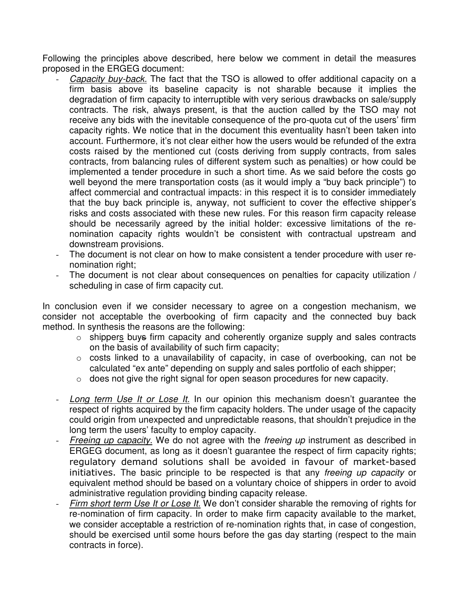Following the principles above described, here below we comment in detail the measures proposed in the ERGEG document:

- Capacity buy-back. The fact that the TSO is allowed to offer additional capacity on a firm basis above its baseline capacity is not sharable because it implies the degradation of firm capacity to interruptible with very serious drawbacks on sale/supply contracts. The risk, always present, is that the auction called by the TSO may not receive any bids with the inevitable consequence of the pro-quota cut of the users' firm capacity rights. We notice that in the document this eventuality hasn't been taken into account. Furthermore, it's not clear either how the users would be refunded of the extra costs raised by the mentioned cut (costs deriving from supply contracts, from sales contracts, from balancing rules of different system such as penalties) or how could be implemented a tender procedure in such a short time. As we said before the costs go well beyond the mere transportation costs (as it would imply a "buy back principle") to affect commercial and contractual impacts: in this respect it is to consider immediately that the buy back principle is, anyway, not sufficient to cover the effective shipper's risks and costs associated with these new rules. For this reason firm capacity release should be necessarily agreed by the initial holder: excessive limitations of the renomination capacity rights wouldn't be consistent with contractual upstream and downstream provisions.
- The document is not clear on how to make consistent a tender procedure with user renomination right;
- The document is not clear about consequences on penalties for capacity utilization / scheduling in case of firm capacity cut.

In conclusion even if we consider necessary to agree on a congestion mechanism, we consider not acceptable the overbooking of firm capacity and the connected buy back method. In synthesis the reasons are the following:

- $\circ$  shippers buys firm capacity and coherently organize supply and sales contracts on the basis of availability of such firm capacity;
- $\circ$  costs linked to a unavailability of capacity, in case of overbooking, can not be calculated "ex ante" depending on supply and sales portfolio of each shipper;
- o does not give the right signal for open season procedures for new capacity.
- Long term Use It or Lose It. In our opinion this mechanism doesn't guarantee the respect of rights acquired by the firm capacity holders. The under usage of the capacity could origin from unexpected and unpredictable reasons, that shouldn't prejudice in the long term the users' faculty to employ capacity.
- Freeing up capacity. We do not agree with the freeing up instrument as described in ERGEG document, as long as it doesn't guarantee the respect of firm capacity rights; regulatory demand solutions shall be avoided in favour of market-based initiatives. The basic principle to be respected is that any freeing up capacity or equivalent method should be based on a voluntary choice of shippers in order to avoid administrative regulation providing binding capacity release.
- Firm short term Use It or Lose It. We don't consider sharable the removing of rights for re-nomination of firm capacity. In order to make firm capacity available to the market, we consider acceptable a restriction of re-nomination rights that, in case of congestion, should be exercised until some hours before the gas day starting (respect to the main contracts in force).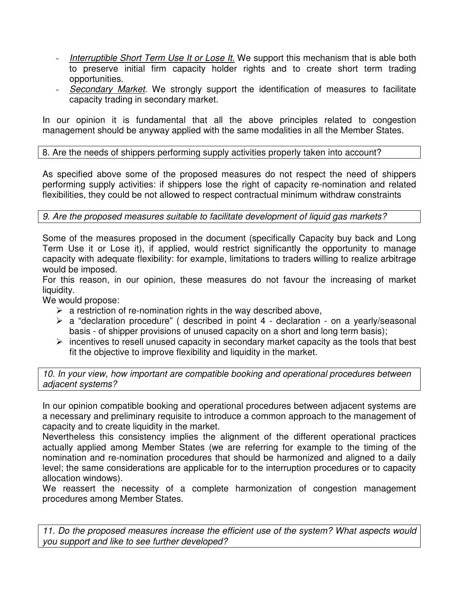- Interruptible Short Term Use It or Lose It. We support this mechanism that is able both to preserve initial firm capacity holder rights and to create short term trading opportunities.
- Secondary Market. We strongly support the identification of measures to facilitate capacity trading in secondary market.

In our opinion it is fundamental that all the above principles related to congestion management should be anyway applied with the same modalities in all the Member States.

8. Are the needs of shippers performing supply activities properly taken into account?

As specified above some of the proposed measures do not respect the need of shippers performing supply activities: if shippers lose the right of capacity re-nomination and related flexibilities, they could be not allowed to respect contractual minimum withdraw constraints

## 9. Are the proposed measures suitable to facilitate development of liquid gas markets?

Some of the measures proposed in the document (specifically Capacity buy back and Long Term Use it or Lose it), if applied, would restrict significantly the opportunity to manage capacity with adequate flexibility: for example, limitations to traders willing to realize arbitrage would be imposed.

For this reason, in our opinion, these measures do not favour the increasing of market liquidity.

We would propose:

- $\triangleright$  a restriction of re-nomination rights in the way described above,
- $\triangleright$  a "declaration procedure" (described in point 4 declaration on a yearly/seasonal basis - of shipper provisions of unused capacity on a short and long term basis);
- $\triangleright$  incentives to resell unused capacity in secondary market capacity as the tools that best fit the objective to improve flexibility and liquidity in the market.

10. In your view, how important are compatible booking and operational procedures between adjacent systems?

In our opinion compatible booking and operational procedures between adjacent systems are a necessary and preliminary requisite to introduce a common approach to the management of capacity and to create liquidity in the market.

Nevertheless this consistency implies the alignment of the different operational practices actually applied among Member States (we are referring for example to the timing of the nomination and re-nomination procedures that should be harmonized and aligned to a daily level; the same considerations are applicable for to the interruption procedures or to capacity allocation windows).

We reassert the necessity of a complete harmonization of congestion management procedures among Member States.

11. Do the proposed measures increase the efficient use of the system? What aspects would you support and like to see further developed?